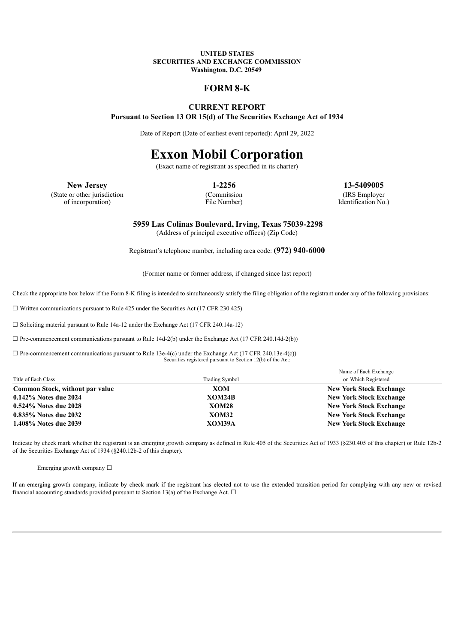#### **UNITED STATES SECURITIES AND EXCHANGE COMMISSION Washington, D.C. 20549**

#### **FORM 8-K**

#### **CURRENT REPORT**

**Pursuant to Section 13 OR 15(d) of The Securities Exchange Act of 1934**

Date of Report (Date of earliest event reported): April 29, 2022

# **Exxon Mobil Corporation**

(Exact name of registrant as specified in its charter)

(State or other jurisdiction of incorporation)

(Commission File Number)

**New Jersey 1-2256 13-5409005**

(IRS Employer Identification No.)

**5959 Las Colinas Boulevard, Irving, Texas 75039-2298**

(Address of principal executive offices) (Zip Code)

Registrant's telephone number, including area code: **(972) 940-6000**

(Former name or former address, if changed since last report)

Check the appropriate box below if the Form 8-K filing is intended to simultaneously satisfy the filing obligation of the registrant under any of the following provisions:

 $\Box$  Written communications pursuant to Rule 425 under the Securities Act (17 CFR 230.425)

 $\Box$  Soliciting material pursuant to Rule 14a-12 under the Exchange Act (17 CFR 240.14a-12)

 $\Box$  Pre-commencement communications pursuant to Rule 14d-2(b) under the Exchange Act (17 CFR 240.14d-2(b))

 $\Box$  Pre-commencement communications pursuant to Rule 13e-4(c) under the Exchange Act (17 CFR 240.13e-4(c)) Securities registered pursuant to Section 12(b) of the Act:

| Title of Each Class             | Trading Symbol | Name of Each Exchange<br>on Which Registered |
|---------------------------------|----------------|----------------------------------------------|
| Common Stock, without par value | <b>XOM</b>     | <b>New York Stock Exchange</b>               |
| $0.142\%$ Notes due 2024        | XOM24B         | <b>New York Stock Exchange</b>               |
| $0.524\%$ Notes due 2028        | <b>XOM28</b>   | <b>New York Stock Exchange</b>               |
| 0.835% Notes due 2032           | <b>XOM32</b>   | <b>New York Stock Exchange</b>               |
| 1.408% Notes due 2039           | XOM39A         | <b>New York Stock Exchange</b>               |

Indicate by check mark whether the registrant is an emerging growth company as defined in Rule 405 of the Securities Act of 1933 (§230.405 of this chapter) or Rule 12b-2 of the Securities Exchange Act of 1934 (§240.12b-2 of this chapter).

Emerging growth company ☐

If an emerging growth company, indicate by check mark if the registrant has elected not to use the extended transition period for complying with any new or revised financial accounting standards provided pursuant to Section 13(a) of the Exchange Act.  $\Box$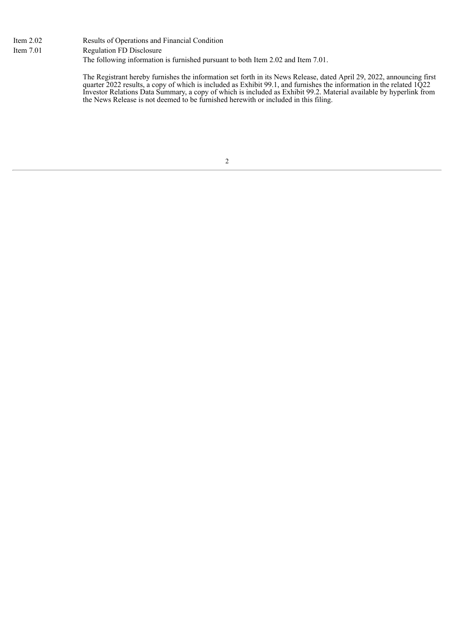Item 2.02 Results of Operations and Financial Condition Item 7.01 Regulation FD Disclosure The following information is furnished pursuant to both Item 2.02 and Item 7.01.

> The Registrant hereby furnishes the information set forth in its News Release, dated April 29, 2022, announcing first quarter 2022 results, a copy of which is included as Exhibit 99.1, and furnishes the information in the related 1Q22 Investor Relations Data Summary, a copy of which is included as Exhibit 99.2. Material available by hyperlink from the News Release is not deemed to be furnished herewith or included in this filing.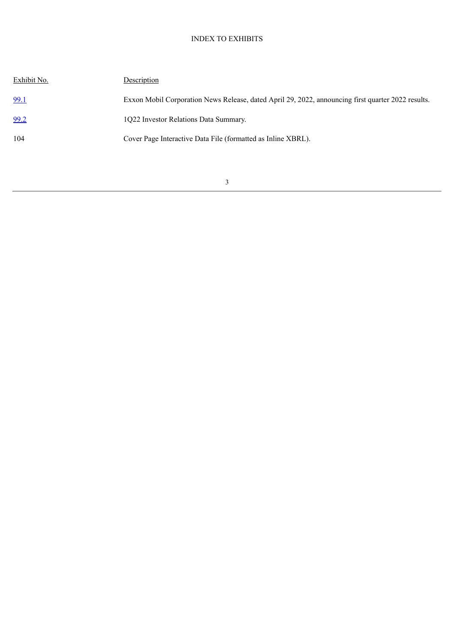### INDEX TO EXHIBITS

| Exhibit No. | Description                                                                                        |
|-------------|----------------------------------------------------------------------------------------------------|
| 99.1        | Exxon Mobil Corporation News Release, dated April 29, 2022, announcing first quarter 2022 results. |
| 99.2        | 1Q22 Investor Relations Data Summary.                                                              |
| 104         | Cover Page Interactive Data File (formatted as Inline XBRL).                                       |
|             |                                                                                                    |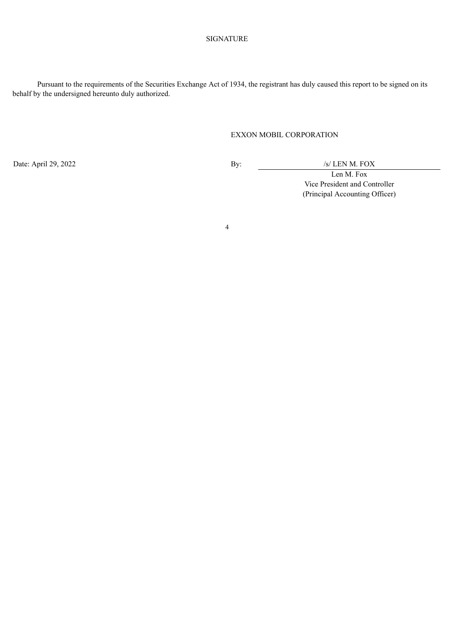#### SIGNATURE

Pursuant to the requirements of the Securities Exchange Act of 1934, the registrant has duly caused this report to be signed on its behalf by the undersigned hereunto duly authorized.

#### EXXON MOBIL CORPORATION

Date: April 29, 2022 By: /s/ LEN M. FOX

Len M. Fox Vice President and Controller (Principal Accounting Officer)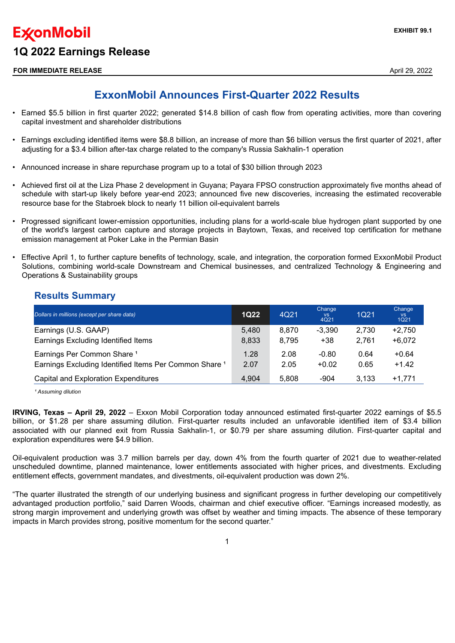#### <span id="page-4-0"></span>**FOR IMMEDIATE RELEASE April 29, 2022**

## **ExxonMobil Announces First-Quarter 2022 Results**

- Earned \$5.5 billion in first quarter 2022; generated \$14.8 billion of cash flow from operating activities, more than covering capital investment and shareholder distributions
- Earnings excluding identified items were \$8.8 billion, an increase of more than \$6 billion versus the first quarter of 2021, after adjusting for a \$3.4 billion after-tax charge related to the company's Russia Sakhalin-1 operation
- Announced increase in share repurchase program up to a total of \$30 billion through 2023
- Achieved first oil at the Liza Phase 2 development in Guyana; Payara FPSO construction approximately five months ahead of schedule with start-up likely before year-end 2023; announced five new discoveries, increasing the estimated recoverable resource base for the Stabroek block to nearly 11 billion oil-equivalent barrels
- Progressed significant lower-emission opportunities, including plans for a world-scale blue hydrogen plant supported by one of the world's largest carbon capture and storage projects in Baytown, Texas, and received top certification for methane emission management at Poker Lake in the Permian Basin
- Effective April 1, to further capture benefits of technology, scale, and integration, the corporation formed ExxonMobil Product Solutions, combining world-scale Downstream and Chemical businesses, and centralized Technology & Engineering and Operations & Sustainability groups

### **Results Summary**

| Dollars in millions (except per share data)                       | <b>1Q22</b> | 4Q21  | Change<br><b>VS</b><br>4Q21 | 1Q21  | Change<br><b>VS</b><br><b>1Q21</b> |
|-------------------------------------------------------------------|-------------|-------|-----------------------------|-------|------------------------------------|
| Earnings (U.S. GAAP)                                              | 5,480       | 8.870 | $-3.390$                    | 2.730 | $+2,750$                           |
| Earnings Excluding Identified Items                               | 8,833       | 8.795 | $+38$                       | 2.761 | $+6.072$                           |
| Earnings Per Common Share <sup>1</sup>                            | 1.28        | 2.08  | $-0.80$                     | 0.64  | $+0.64$                            |
| Earnings Excluding Identified Items Per Common Share <sup>1</sup> | 2.07        | 2.05  | $+0.02$                     | 0.65  | $+1.42$                            |
| Capital and Exploration Expenditures                              | 4.904       | 5.808 | -904                        | 3.133 | $+1.771$                           |

*¹ Assuming dilution*

**IRVING, Texas – April 29, 2022** – Exxon Mobil Corporation today announced estimated first-quarter 2022 earnings of \$5.5 billion, or \$1.28 per share assuming dilution. First-quarter results included an unfavorable identified item of \$3.4 billion associated with our planned exit from Russia Sakhalin-1, or \$0.79 per share assuming dilution. First-quarter capital and exploration expenditures were \$4.9 billion.

Oil-equivalent production was 3.7 million barrels per day, down 4% from the fourth quarter of 2021 due to weather-related unscheduled downtime, planned maintenance, lower entitlements associated with higher prices, and divestments. Excluding entitlement effects, government mandates, and divestments, oil-equivalent production was down 2%.

"The quarter illustrated the strength of our underlying business and significant progress in further developing our competitively advantaged production portfolio," said Darren Woods, chairman and chief executive officer. "Earnings increased modestly, as strong margin improvement and underlying growth was offset by weather and timing impacts. The absence of these temporary impacts in March provides strong, positive momentum for the second quarter."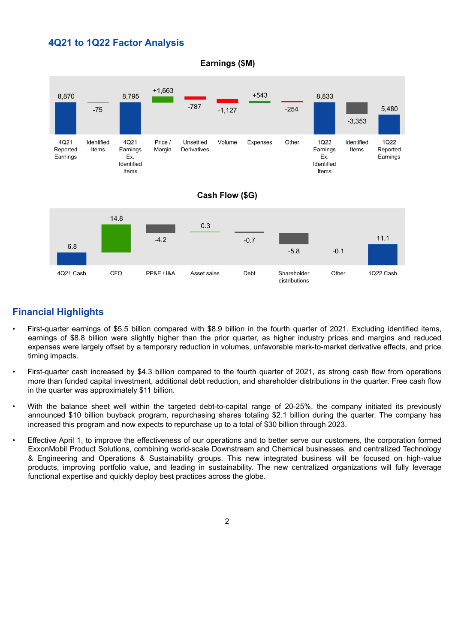### **4Q21 to 1Q22 Factor Analysis**



Earnings (\$M)

### **Financial Highlights**

- First-quarter earnings of \$5.5 billion compared with \$8.9 billion in the fourth quarter of 2021. Excluding identified items, earnings of \$8.8 billion were slightly higher than the prior quarter, as higher industry prices and margins and reduced expenses were largely offset by a temporary reduction in volumes, unfavorable mark-to-market derivative effects, and price timing impacts.
- First-quarter cash increased by \$4.3 billion compared to the fourth quarter of 2021, as strong cash flow from operations more than funded capital investment, additional debt reduction, and shareholder distributions in the quarter. Free cash flow in the quarter was approximately \$11 billion.
- With the balance sheet well within the targeted debt-to-capital range of 20-25%, the company initiated its previously announced \$10 billion buyback program, repurchasing shares totaling \$2.1 billion during the quarter. The company has increased this program and now expects to repurchase up to a total of \$30 billion through 2023.
- Effective April 1, to improve the effectiveness of our operations and to better serve our customers, the corporation formed ExxonMobil Product Solutions, combining world-scale Downstream and Chemical businesses, and centralized Technology & Engineering and Operations & Sustainability groups. This new integrated business will be focused on high-value products, improving portfolio value, and leading in sustainability. The new centralized organizations will fully leverage functional expertise and quickly deploy best practices across the globe.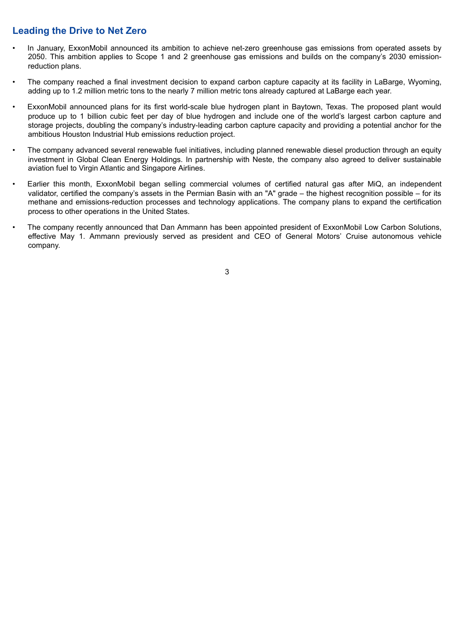### **Leading the Drive to Net Zero**

- In January, ExxonMobil announced its ambition to achieve net-zero greenhouse gas emissions from operated assets by 2050. This ambition applies to Scope 1 and 2 greenhouse gas emissions and builds on the company's 2030 emissionreduction plans.
- The company reached a final investment decision to expand carbon capture capacity at its facility in LaBarge, Wyoming, adding up to 1.2 million metric tons to the nearly 7 million metric tons already captured at LaBarge each year.
- ExxonMobil announced plans for its first world-scale blue hydrogen plant in Baytown, Texas. The proposed plant would produce up to 1 billion cubic feet per day of blue hydrogen and include one of the world's largest carbon capture and storage projects, doubling the company's industry-leading carbon capture capacity and providing a potential anchor for the ambitious Houston Industrial Hub emissions reduction project.
- The company advanced several renewable fuel initiatives, including planned renewable diesel production through an equity investment in Global Clean Energy Holdings. In partnership with Neste, the company also agreed to deliver sustainable aviation fuel to Virgin Atlantic and Singapore Airlines.
- Earlier this month, ExxonMobil began selling commercial volumes of certified natural gas after MiQ, an independent validator, certified the company's assets in the Permian Basin with an "A" grade – the highest recognition possible – for its methane and emissions-reduction processes and technology applications. The company plans to expand the certification process to other operations in the United States.
- The company recently announced that Dan Ammann has been appointed president of ExxonMobil Low Carbon Solutions, effective May 1. Ammann previously served as president and CEO of General Motors' Cruise autonomous vehicle company.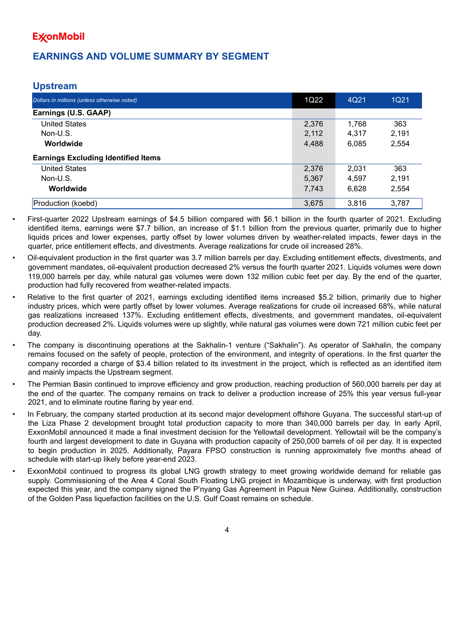## **EARNINGS AND VOLUME SUMMARY BY SEGMENT**

### **Upstream**

| Dollars in millions (unless otherwise noted) | 1Q22  | 4Q21  | <b>1Q21</b> |
|----------------------------------------------|-------|-------|-------------|
| Earnings (U.S. GAAP)                         |       |       |             |
| <b>United States</b>                         | 2,376 | 1.768 | 363         |
| Non-U.S.                                     | 2,112 | 4.317 | 2,191       |
| Worldwide                                    | 4,488 | 6,085 | 2,554       |
| <b>Earnings Excluding Identified Items</b>   |       |       |             |
| <b>United States</b>                         | 2,376 | 2.031 | 363         |
| Non-U.S.                                     | 5,367 | 4.597 | 2,191       |
| Worldwide                                    | 7,743 | 6.628 | 2,554       |
| Production (koebd)                           | 3,675 | 3,816 | 3,787       |

- First-quarter 2022 Upstream earnings of \$4.5 billion compared with \$6.1 billion in the fourth quarter of 2021. Excluding identified items, earnings were \$7.7 billion, an increase of \$1.1 billion from the previous quarter, primarily due to higher liquids prices and lower expenses, partly offset by lower volumes driven by weather-related impacts, fewer days in the quarter, price entitlement effects, and divestments. Average realizations for crude oil increased 28%.
- Oil-equivalent production in the first quarter was 3.7 million barrels per day. Excluding entitlement effects, divestments, and government mandates, oil-equivalent production decreased 2% versus the fourth quarter 2021. Liquids volumes were down 119,000 barrels per day, while natural gas volumes were down 132 million cubic feet per day. By the end of the quarter, production had fully recovered from weather-related impacts.
- Relative to the first quarter of 2021, earnings excluding identified items increased \$5.2 billion, primarily due to higher industry prices, which were partly offset by lower volumes. Average realizations for crude oil increased 68%, while natural gas realizations increased 137%. Excluding entitlement effects, divestments, and government mandates, oil-equivalent production decreased 2%. Liquids volumes were up slightly, while natural gas volumes were down 721 million cubic feet per day.
- The company is discontinuing operations at the Sakhalin-1 venture ("Sakhalin"). As operator of Sakhalin, the company remains focused on the safety of people, protection of the environment, and integrity of operations. In the first quarter the company recorded a charge of \$3.4 billion related to its investment in the project, which is reflected as an identified item and mainly impacts the Upstream segment.
- The Permian Basin continued to improve efficiency and grow production, reaching production of 560,000 barrels per day at the end of the quarter. The company remains on track to deliver a production increase of 25% this year versus full-year 2021, and to eliminate routine flaring by year end.
- In February, the company started production at its second major development offshore Guyana. The successful start-up of the Liza Phase 2 development brought total production capacity to more than 340,000 barrels per day. In early April, ExxonMobil announced it made a final investment decision for the Yellowtail development. Yellowtail will be the company's fourth and largest development to date in Guyana with production capacity of 250,000 barrels of oil per day. It is expected to begin production in 2025. Additionally, Payara FPSO construction is running approximately five months ahead of schedule with start-up likely before year-end 2023.
- ExxonMobil continued to progress its global LNG growth strategy to meet growing worldwide demand for reliable gas supply. Commissioning of the Area 4 Coral South Floating LNG project in Mozambique is underway, with first production expected this year, and the company signed the P'nyang Gas Agreement in Papua New Guinea. Additionally, construction of the Golden Pass liquefaction facilities on the U.S. Gulf Coast remains on schedule.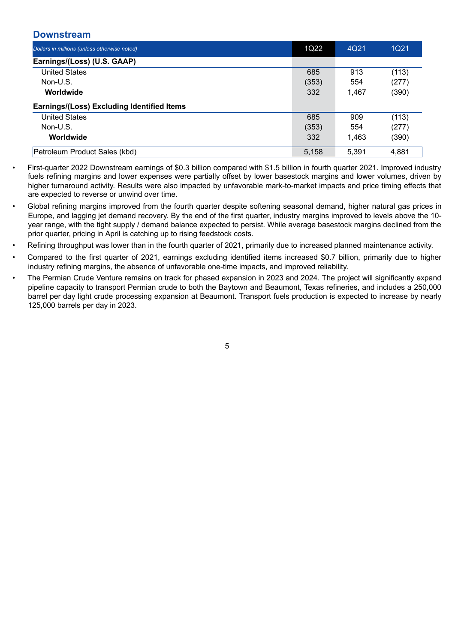#### **Downstream**

| Dollars in millions (unless otherwise noted)      | 1Q22  | 4Q21  | <b>1Q21</b> |
|---------------------------------------------------|-------|-------|-------------|
| Earnings/(Loss) (U.S. GAAP)                       |       |       |             |
| <b>United States</b>                              | 685   | 913   | (113)       |
| $Non-U.S.$                                        | (353) | 554   | (277)       |
| Worldwide                                         | 332   | 1.467 | (390)       |
| <b>Earnings/(Loss) Excluding Identified Items</b> |       |       |             |
| <b>United States</b>                              | 685   | 909   | (113)       |
| $Non-U.S.$                                        | (353) | 554   | (277)       |
| Worldwide                                         | 332   | 1.463 | (390)       |
| Petroleum Product Sales (kbd)                     | 5,158 | 5,391 | 4,881       |

- First-quarter 2022 Downstream earnings of \$0.3 billion compared with \$1.5 billion in fourth quarter 2021. Improved industry fuels refining margins and lower expenses were partially offset by lower basestock margins and lower volumes, driven by higher turnaround activity. Results were also impacted by unfavorable mark-to-market impacts and price timing effects that are expected to reverse or unwind over time.
- Global refining margins improved from the fourth quarter despite softening seasonal demand, higher natural gas prices in Europe, and lagging jet demand recovery. By the end of the first quarter, industry margins improved to levels above the 10 year range, with the tight supply / demand balance expected to persist. While average basestock margins declined from the prior quarter, pricing in April is catching up to rising feedstock costs.
- Refining throughput was lower than in the fourth quarter of 2021, primarily due to increased planned maintenance activity.
- Compared to the first quarter of 2021, earnings excluding identified items increased \$0.7 billion, primarily due to higher industry refining margins, the absence of unfavorable one-time impacts, and improved reliability.
- The Permian Crude Venture remains on track for phased expansion in 2023 and 2024. The project will significantly expand pipeline capacity to transport Permian crude to both the Baytown and Beaumont, Texas refineries, and includes a 250,000 barrel per day light crude processing expansion at Beaumont. Transport fuels production is expected to increase by nearly 125,000 barrels per day in 2023.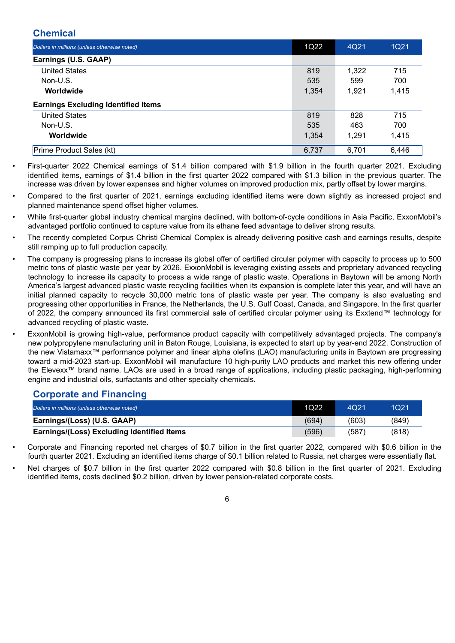### **Chemical**

| Dollars in millions (unless otherwise noted) | 1Q22  | 4Q21  | 1Q21  |
|----------------------------------------------|-------|-------|-------|
| Earnings (U.S. GAAP)                         |       |       |       |
| <b>United States</b>                         | 819   | 1,322 | 715   |
| Non-U.S.                                     | 535   | 599   | 700   |
| Worldwide                                    | 1,354 | 1,921 | 1,415 |
| <b>Earnings Excluding Identified Items</b>   |       |       |       |
| <b>United States</b>                         | 819   | 828   | 715   |
| Non-U.S.                                     | 535   | 463   | 700   |
| Worldwide                                    | 1,354 | 1.291 | 1,415 |
| Prime Product Sales (kt)                     | 6,737 | 6,701 | 6,446 |

- First-quarter 2022 Chemical earnings of \$1.4 billion compared with \$1.9 billion in the fourth quarter 2021. Excluding identified items, earnings of \$1.4 billion in the first quarter 2022 compared with \$1.3 billion in the previous quarter. The increase was driven by lower expenses and higher volumes on improved production mix, partly offset by lower margins.
- Compared to the first quarter of 2021, earnings excluding identified items were down slightly as increased project and planned maintenance spend offset higher volumes.
- While first-quarter global industry chemical margins declined, with bottom-of-cycle conditions in Asia Pacific, ExxonMobil's advantaged portfolio continued to capture value from its ethane feed advantage to deliver strong results.
- The recently completed Corpus Christi Chemical Complex is already delivering positive cash and earnings results, despite still ramping up to full production capacity.
- The company is progressing plans to increase its global offer of certified circular polymer with capacity to process up to 500 metric tons of plastic waste per year by 2026. ExxonMobil is leveraging existing assets and proprietary advanced recycling technology to increase its capacity to process a wide range of plastic waste. Operations in Baytown will be among North America's largest advanced plastic waste recycling facilities when its expansion is complete later this year, and will have an initial planned capacity to recycle 30,000 metric tons of plastic waste per year. The company is also evaluating and progressing other opportunities in France, the Netherlands, the U.S. Gulf Coast, Canada, and Singapore. In the first quarter of 2022, the company announced its first commercial sale of certified circular polymer using its Exxtend™ technology for advanced recycling of plastic waste.
- ExxonMobil is growing high-value, performance product capacity with competitively advantaged projects. The company's new polypropylene manufacturing unit in Baton Rouge, Louisiana, is expected to start up by year-end 2022. Construction of the new Vistamaxx™ performance polymer and linear alpha olefins (LAO) manufacturing units in Baytown are progressing toward a mid-2023 start-up. ExxonMobil will manufacture 10 high-purity LAO products and market this new offering under the Elevexx™ brand name. LAOs are used in a broad range of applications, including plastic packaging, high-performing engine and industrial oils, surfactants and other specialty chemicals.

### **Corporate and Financing**

| Dollars in millions (unless otherwise noted)      | 1022  | 4Q21  | 1Q21  |
|---------------------------------------------------|-------|-------|-------|
| Earnings/(Loss) (U.S. GAAP)                       | (694) | (603) | (849) |
| <b>Earnings/(Loss) Excluding Identified Items</b> | (596) | (587) | (818) |

• Corporate and Financing reported net charges of \$0.7 billion in the first quarter 2022, compared with \$0.6 billion in the fourth quarter 2021. Excluding an identified items charge of \$0.1 billion related to Russia, net charges were essentially flat.

Net charges of \$0.7 billion in the first quarter 2022 compared with \$0.8 billion in the first quarter of 2021. Excluding identified items, costs declined \$0.2 billion, driven by lower pension-related corporate costs.

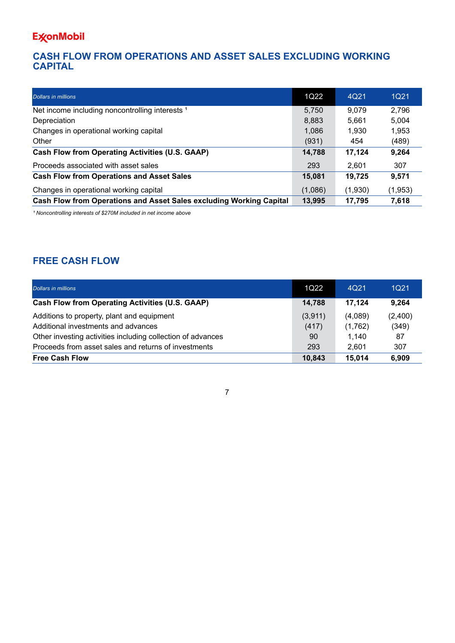# **ExgnMobil**

### **CASH FLOW FROM OPERATIONS AND ASSET SALES EXCLUDING WORKING CAPITAL**

| <b>Dollars in millions</b>                                                 | 1Q22    | 4Q21    | <b>1Q21</b> |
|----------------------------------------------------------------------------|---------|---------|-------------|
| Net income including noncontrolling interests <sup>1</sup>                 | 5,750   | 9.079   | 2,796       |
| Depreciation                                                               | 8,883   | 5.661   | 5,004       |
| Changes in operational working capital                                     | 1,086   | 1,930   | 1.953       |
| Other                                                                      | (931)   | 454     | (489)       |
| <b>Cash Flow from Operating Activities (U.S. GAAP)</b>                     | 14,788  | 17,124  | 9,264       |
| Proceeds associated with asset sales                                       | 293     | 2.601   | 307         |
| <b>Cash Flow from Operations and Asset Sales</b>                           | 15,081  | 19,725  | 9,571       |
| Changes in operational working capital                                     | (1,086) | (1,930) | (1,953)     |
| <b>Cash Flow from Operations and Asset Sales excluding Working Capital</b> | 13,995  | 17,795  | 7,618       |

*¹ Noncontrolling interests of \$270M included in net income above*

### **FREE CASH FLOW**

| <b>Dollars in millions</b>                                  | 1Q22    | 4Q21    | <b>1Q21</b> |
|-------------------------------------------------------------|---------|---------|-------------|
| <b>Cash Flow from Operating Activities (U.S. GAAP)</b>      | 14,788  | 17.124  | 9.264       |
| Additions to property, plant and equipment                  | (3,911) | (4,089) | (2,400)     |
| Additional investments and advances                         | (417)   | (1,762) | (349)       |
| Other investing activities including collection of advances | 90      | 1.140   | 87          |
| Proceeds from asset sales and returns of investments        | 293     | 2.601   | 307         |
| <b>Free Cash Flow</b>                                       | 10.843  | 15,014  | 6.909       |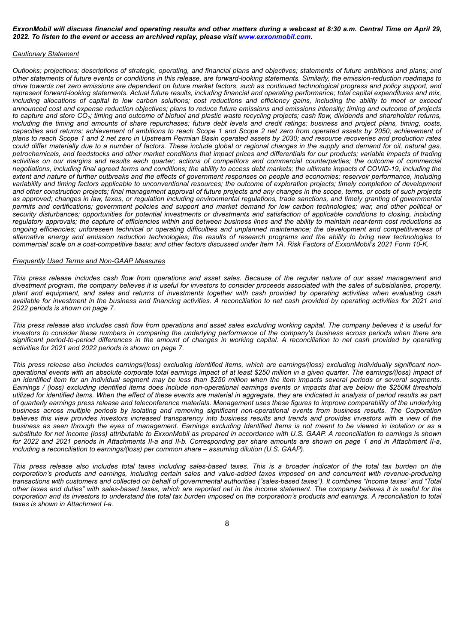#### ExxonMobil will discuss financial and operating results and other matters during a webcast at 8:30 a.m. Central Time on April 29, *2022. To listen to the event or access an archived replay, please visit www.exxonmobil.com***.**

#### *Cautionary Statement*

Outlooks; projections; descriptions of strategic, operating, and financial plans and objectives; statements of future ambitions and plans; and other statements of future events or conditions in this release, are forward-looking statements. Similarly, the emission-reduction roadmaps to drive towards net zero emissions are dependent on future market factors, such as continued technological progress and policy support, and represent forward-looking statements. Actual future results, including financial and operating performance; total capital expenditures and mix, including allocations of capital to low carbon solutions; cost reductions and efficiency gains, including the ability to meet or exceed announced cost and expense reduction objectives; plans to reduce future emissions and emissions intensity; timing and outcome of projects to capture and store CO<sub>2</sub>; timing and outcome of biofuel and plastic waste recycling projects; cash flow, dividends and shareholder returns, including the timing and amounts of share repurchases; future debt levels and credit ratings; business and project plans, timing, costs, capacities and returns; achievement of ambitions to reach Scope 1 and Scope 2 net zero from operated assets by 2050; achievement of plans to reach Scope 1 and 2 net zero in Upstream Permian Basin operated assets by 2030; and resource recoveries and production rates could differ materially due to a number of factors. These include global or regional changes in the supply and demand for oil, natural gas, petrochemicals, and feedstocks and other market conditions that impact prices and differentials for our products; variable impacts of trading activities on our margins and results each quarter; actions of competitors and commercial counterparties; the outcome of commercial negotiations, including final agreed terms and conditions; the ability to access debt markets; the ultimate impacts of COVID-19, including the extent and nature of further outbreaks and the effects of government responses on people and economies; reservoir performance, including variability and timing factors applicable to unconventional resources; the outcome of exploration projects; timely completion of development and other construction projects; final management approval of future projects and any changes in the scope, terms, or costs of such projects as approved; changes in law, taxes, or regulation including environmental regulations, trade sanctions, and timely granting of governmental permits and certifications; government policies and support and market demand for low carbon technologies; war, and other political or security disturbances; opportunities for potential investments or divestments and satisfaction of applicable conditions to closing, including regulatory approvals; the capture of efficiencies within and between business lines and the ability to maintain near-term cost reductions as ongoing efficiencies; unforeseen technical or operating difficulties and unplanned maintenance; the development and competitiveness of alternative energy and emission reduction technologies; the results of research programs and the ability to bring new technologies to commercial scale on a cost-competitive basis; and other factors discussed under Item 1A. Risk Factors of ExxonMobil's 2021 Form 10-K.

#### *Frequently Used Terms and Non-GAAP Measures*

This press release includes cash flow from operations and asset sales. Because of the regular nature of our asset management and divestment program, the company believes it is useful for investors to consider proceeds associated with the sales of subsidiaries, property, plant and equipment, and sales and returns of investments together with cash provided by operating activities when evaluating cash available for investment in the business and financing activities. A reconciliation to net cash provided by operating activities for 2021 and *2022 periods is shown on page 7.*

This press release also includes cash flow from operations and asset sales excluding working capital. The company believes it is useful for investors to consider these numbers in comparing the underlying performance of the company's business across periods when there are significant period-to-period differences in the amount of changes in working capital. A reconciliation to net cash provided by operating *activities for 2021 and 2022 periods is shown on page 7.*

This press release also includes earnings/(loss) excluding identified items, which are earnings/(loss) excluding individually significant nonoperational events with an absolute corporate total earnings impact of at least \$250 million in a given quarter. The earnings/(loss) impact of an identified item for an individual segment may be less than \$250 million when the item impacts several periods or several segments. Earnings / (loss) excluding identified items does include non-operational earnings events or impacts that are below the \$250M threshold utilized for identified items. When the effect of these events are material in aggregate, they are indicated in analysis of period results as part of quarterly earnings press release and teleconference materials. Management uses these figures to improve comparability of the underlying business across multiple periods by isolating and removing significant non-operational events from business results. The Corporation believes this view provides investors increased transparency into business results and trends and provides investors with a view of the business as seen through the eyes of management. Earnings excluding Identified Items is not meant to be viewed in isolation or as a substitute for net income (loss) attributable to ExxonMobil as prepared in accordance with U.S. GAAP. A reconciliation to earnings is shown for 2022 and 2021 periods in Attachments II-a and II-b. Corresponding per share amounts are shown on page 1 and in Attachment II-a, *including a reconciliation to earnings/(loss) per common share – assuming dilution (U.S. GAAP).*

This press release also includes total taxes including sales-based taxes. This is a broader indicator of the total tax burden on the corporation's products and earnings, including certain sales and value-added taxes imposed on and concurrent with revenue-producing transactions with customers and collected on behalf of governmental authorities ("sales-based taxes"). It combines "Income taxes" and "Total other taxes and duties" with sales-based taxes, which are reported net in the income statement. The company believes it is useful for the corporation and its investors to understand the total tax burden imposed on the corporation's products and earnings. A reconciliation to total *taxes is shown in Attachment I-a.*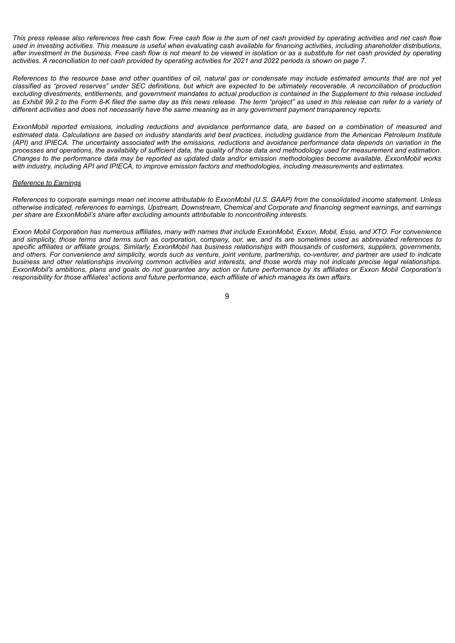This press release also references free cash flow. Free cash flow is the sum of net cash provided by operating activities and net cash flow used in investing activities. This measure is useful when evaluating cash available for financing activities, including shareholder distributions, after investment in the business. Free cash flow is not meant to be viewed in isolation or as a substitute for net cash provided by operating activities. A reconciliation to net cash provided by operating activities for 2021 and 2022 periods is shown on page 7.

References to the resource base and other quantities of oil, natural gas or condensate may include estimated amounts that are not yet classified as "proved reserves" under SEC definitions, but which are expected to be ultimately recoverable. A reconciliation of production excluding divestments, entitlements, and government mandates to actual production is contained in the Supplement to this release included as Exhibit 99.2 to the Form 8-K filed the same day as this news release. The term "project" as used in this release can refer to a variety of different activities and does not necessarily have the same meaning as in any government payment transparency reports.

ExxonMobil reported emissions, including reductions and avoidance performance data, are based on a combination of measured and estimated data. Calculations are based on industry standards and best practices, including quidance from the American Petroleum Institute (API) and IPIECA. The uncertainty associated with the emissions, reductions and avoidance performance data depends on variation in the processes and operations, the availability of sufficient data, the quality of those data and methodology used for measurement and estimation. Changes to the performance data may be reported as updated data and/or emission methodologies become available. ExxonMobil works with industry, including API and IPIECA, to improve emission factors and methodologies, including measurements and estimates.

#### *Reference to Earnings*

References to corporate earnings mean net income attributable to ExxonMobil (U.S. GAAP) from the consolidated income statement. Unless otherwise indicated, references to earnings, Upstream, Downstream, Chemical and Corporate and financing segment earnings, and earnings *per share are ExxonMobil's share after excluding amounts attributable to noncontrolling interests.*

Exxon Mobil Corporation has numerous affiliates, many with names that include ExxonMobil, Exxon, Mobil, Esso, and XTO. For convenience and simplicity, those terms and terms such as corporation, company, our, we, and its are sometimes used as abbreviated references to specific affiliates or affiliate groups. Similarly, ExxonMobil has business relationships with thousands of customers, suppliers, governments, and others. For convenience and simplicity, words such as venture, joint venture, partnership, co-venturer, and partner are used to indicate business and other relationships involving common activities and interests, and those words may not indicate precise legal relationships. ExxonMobil's ambitions, plans and goals do not guarantee any action or future performance by its affiliates or Exxon Mobil Corporation's responsibility for those affiliates' actions and future performance, each affiliate of which manages its own affairs.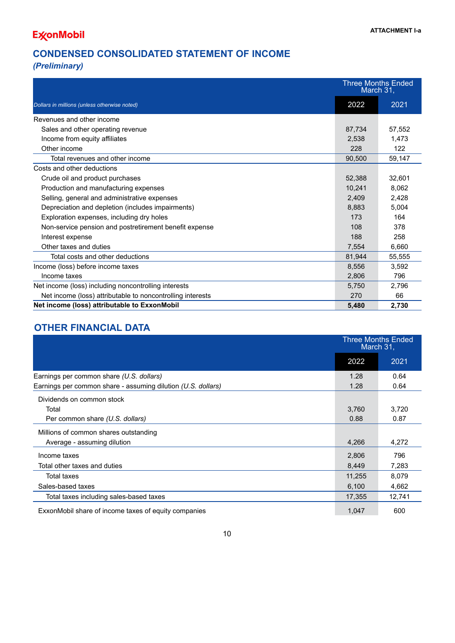## **CONDENSED CONSOLIDATED STATEMENT OF INCOME**

## *(Preliminary)*

|                                                            | March 31, | <b>Three Months Ended</b> |
|------------------------------------------------------------|-----------|---------------------------|
| Dollars in millions (unless otherwise noted)               | 2022      | 2021                      |
| Revenues and other income                                  |           |                           |
| Sales and other operating revenue                          | 87,734    | 57,552                    |
| Income from equity affiliates                              | 2.538     | 1.473                     |
| Other income                                               | 228       | 122                       |
| Total revenues and other income                            | 90,500    | 59,147                    |
| Costs and other deductions                                 |           |                           |
| Crude oil and product purchases                            | 52,388    | 32,601                    |
| Production and manufacturing expenses                      | 10,241    | 8,062                     |
| Selling, general and administrative expenses               | 2,409     | 2,428                     |
| Depreciation and depletion (includes impairments)          | 8.883     | 5,004                     |
| Exploration expenses, including dry holes                  | 173       | 164                       |
| Non-service pension and postretirement benefit expense     | 108       | 378                       |
| Interest expense                                           | 188       | 258                       |
| Other taxes and duties                                     | 7,554     | 6,660                     |
| Total costs and other deductions                           | 81,944    | 55,555                    |
| Income (loss) before income taxes                          | 8,556     | 3,592                     |
| Income taxes                                               | 2,806     | 796                       |
| Net income (loss) including noncontrolling interests       | 5,750     | 2,796                     |
| Net income (loss) attributable to noncontrolling interests | 270       | 66                        |
| Net income (loss) attributable to ExxonMobil               | 5,480     | 2,730                     |

## **OTHER FINANCIAL DATA**

|                                                              | <b>Three Months Ended</b><br>March 31, |        |
|--------------------------------------------------------------|----------------------------------------|--------|
|                                                              | 2022                                   | 2021   |
| Earnings per common share (U.S. dollars)                     | 1.28                                   | 0.64   |
| Earnings per common share - assuming dilution (U.S. dollars) | 1.28                                   | 0.64   |
| Dividends on common stock                                    |                                        |        |
| Total                                                        | 3,760                                  | 3,720  |
| Per common share (U.S. dollars)                              | 0.88                                   | 0.87   |
| Millions of common shares outstanding                        |                                        |        |
| Average - assuming dilution                                  | 4,266                                  | 4,272  |
| Income taxes                                                 | 2,806                                  | 796    |
| Total other taxes and duties                                 | 8,449                                  | 7,283  |
| Total taxes                                                  | 11,255                                 | 8,079  |
| Sales-based taxes                                            | 6,100                                  | 4,662  |
| Total taxes including sales-based taxes                      | 17,355                                 | 12,741 |
| ExxonMobil share of income taxes of equity companies         | 1,047                                  | 600    |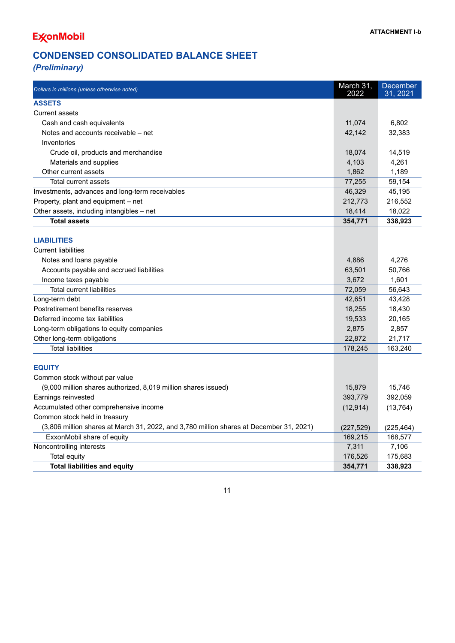## **CONDENSED CONSOLIDATED BALANCE SHEET**

## *(Preliminary)*

| Dollars in millions (unless otherwise noted)                                            | March 31,<br>2022 | December<br>31.2021 |
|-----------------------------------------------------------------------------------------|-------------------|---------------------|
| <b>ASSETS</b>                                                                           |                   |                     |
| Current assets                                                                          |                   |                     |
| Cash and cash equivalents                                                               | 11,074            | 6,802               |
| Notes and accounts receivable – net                                                     | 42,142            | 32,383              |
| Inventories                                                                             |                   |                     |
| Crude oil, products and merchandise                                                     | 18,074            | 14,519              |
| Materials and supplies                                                                  | 4,103             | 4,261               |
| Other current assets                                                                    | 1,862             | 1,189               |
| Total current assets                                                                    | 77,255            | 59,154              |
| Investments, advances and long-term receivables                                         | 46,329            | 45,195              |
| Property, plant and equipment - net                                                     | 212,773           | 216,552             |
| Other assets, including intangibles - net                                               | 18,414            | 18,022              |
| <b>Total assets</b>                                                                     | 354,771           | 338,923             |
| <b>LIABILITIES</b>                                                                      |                   |                     |
| <b>Current liabilities</b>                                                              |                   |                     |
|                                                                                         | 4,886             | 4,276               |
| Notes and loans payable<br>Accounts payable and accrued liabilities                     |                   |                     |
| Income taxes payable                                                                    | 63,501<br>3,672   | 50,766<br>1,601     |
| <b>Total current liabilities</b>                                                        | 72,059            | 56,643              |
| Long-term debt                                                                          | 42,651            | 43,428              |
| Postretirement benefits reserves                                                        | 18,255            | 18,430              |
| Deferred income tax liabilities                                                         | 19,533            | 20,165              |
| Long-term obligations to equity companies                                               | 2,875             | 2,857               |
| Other long-term obligations                                                             | 22,872            | 21,717              |
| <b>Total liabilities</b>                                                                | 178,245           | 163,240             |
|                                                                                         |                   |                     |
| <b>EQUITY</b>                                                                           |                   |                     |
| Common stock without par value                                                          |                   |                     |
| (9,000 million shares authorized, 8,019 million shares issued)                          | 15,879            | 15,746              |
| Earnings reinvested                                                                     | 393,779           | 392,059             |
| Accumulated other comprehensive income                                                  | (12, 914)         | (13, 764)           |
| Common stock held in treasury                                                           |                   |                     |
| (3,806 million shares at March 31, 2022, and 3,780 million shares at December 31, 2021) | (227, 529)        | (225, 464)          |
| ExxonMobil share of equity                                                              | 169,215           | 168,577             |
| Noncontrolling interests                                                                | 7,311             | 7,106               |
| Total equity                                                                            | 176,526           | 175,683             |
| <b>Total liabilities and equity</b>                                                     | 354,771           | 338,923             |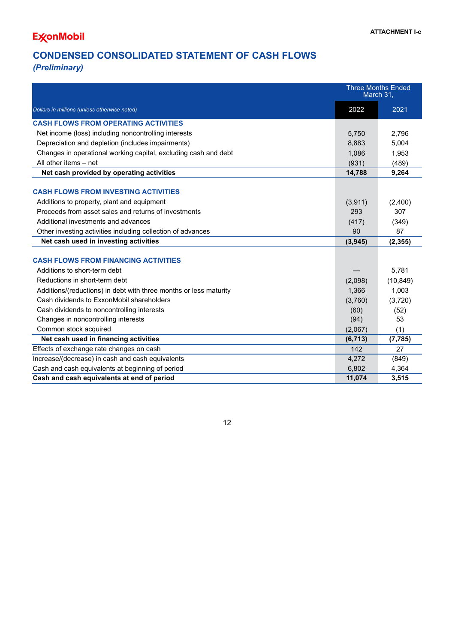# **CONDENSED CONSOLIDATED STATEMENT OF CASH FLOWS**

*(Preliminary)*

|                                                                   | <b>Three Months Ended</b><br>March 31. |           |
|-------------------------------------------------------------------|----------------------------------------|-----------|
| Dollars in millions (unless otherwise noted)                      | 2022                                   | 2021      |
| <b>CASH FLOWS FROM OPERATING ACTIVITIES</b>                       |                                        |           |
| Net income (loss) including noncontrolling interests              | 5,750                                  | 2,796     |
| Depreciation and depletion (includes impairments)                 | 8,883                                  | 5,004     |
| Changes in operational working capital, excluding cash and debt   | 1,086                                  | 1,953     |
| All other items - net                                             | (931)                                  | (489)     |
| Net cash provided by operating activities                         | 14,788                                 | 9,264     |
| <b>CASH FLOWS FROM INVESTING ACTIVITIES</b>                       |                                        |           |
| Additions to property, plant and equipment                        | (3,911)                                | (2,400)   |
| Proceeds from asset sales and returns of investments              | 293                                    | 307       |
| Additional investments and advances                               | (417)                                  | (349)     |
| Other investing activities including collection of advances       | 90                                     | 87        |
| Net cash used in investing activities                             | (3,945)                                | (2, 355)  |
|                                                                   |                                        |           |
| <b>CASH FLOWS FROM FINANCING ACTIVITIES</b>                       |                                        |           |
| Additions to short-term debt                                      |                                        | 5,781     |
| Reductions in short-term debt                                     | (2,098)                                | (10, 849) |
| Additions/(reductions) in debt with three months or less maturity | 1,366                                  | 1,003     |
| Cash dividends to ExxonMobil shareholders                         | (3,760)                                | (3,720)   |
| Cash dividends to noncontrolling interests                        | (60)                                   | (52)      |
| Changes in noncontrolling interests                               | (94)                                   | 53        |
| Common stock acquired                                             | (2,067)                                | (1)       |
| Net cash used in financing activities                             | (6, 713)                               | (7, 785)  |
| Effects of exchange rate changes on cash                          | 142                                    | 27        |
| Increase/(decrease) in cash and cash equivalents                  | 4,272                                  | (849)     |
| Cash and cash equivalents at beginning of period                  | 6,802                                  | 4,364     |
| Cash and cash equivalents at end of period                        | 11,074                                 | 3,515     |

![](_page_15_Picture_5.jpeg)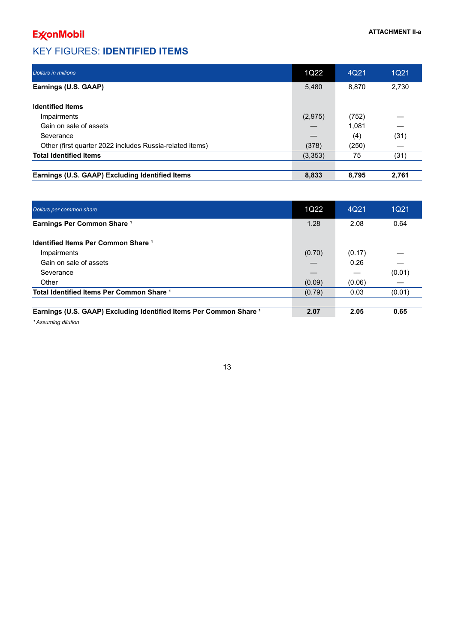### KEY FIGURES: **IDENTIFIED ITEMS**

| <b>Dollars in millions</b>                               | 1Q22    | 4Q21  | <b>1Q21</b> |
|----------------------------------------------------------|---------|-------|-------------|
| Earnings (U.S. GAAP)                                     | 5,480   | 8,870 | 2,730       |
| <b>Identified Items</b>                                  |         |       |             |
| Impairments                                              | (2,975) | (752) |             |
| Gain on sale of assets                                   |         | 1.081 |             |
| Severance                                                |         | (4)   | (31)        |
| Other (first quarter 2022 includes Russia-related items) | (378)   | (250) |             |
| <b>Total Identified Items</b>                            | (3,353) | 75    | (31)        |
| Earnings (U.S. GAAP) Excluding Identified Items          | 8,833   | 8,795 | 2,761       |

| Dollars per common share                                           | 1Q22   | 4Q21           | 1Q21   |
|--------------------------------------------------------------------|--------|----------------|--------|
| Earnings Per Common Share <sup>1</sup>                             | 1.28   | 2.08           | 0.64   |
| <b>Identified Items Per Common Share 1</b>                         |        |                |        |
| Impairments<br>Gain on sale of assets                              | (0.70) | (0.17)<br>0.26 |        |
| Severance<br>Other                                                 | (0.09) | (0.06)         | (0.01) |
| Total Identified Items Per Common Share <sup>1</sup>               | (0.79) | 0.03           | (0.01) |
| Earnings (U.S. GAAP) Excluding Identified Items Per Common Share 1 | 2.07   | 2.05           | 0.65   |

*¹ Assuming dilution*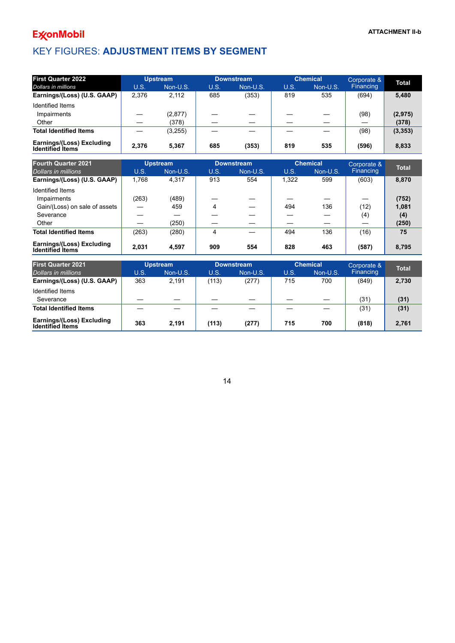## KEY FIGURES: **ADJUSTMENT ITEMS BY SEGMENT**

| <b>First Quarter 2022</b>                     | <b>Upstream</b> |          |      | <b>Downstream</b> |       | <b>Chemical</b> |                          |              |
|-----------------------------------------------|-----------------|----------|------|-------------------|-------|-----------------|--------------------------|--------------|
| Dollars in millions                           | U.S.            | Non-U.S. | U.S. | Non-U.S.          | U.S.  | Non-U.S.        | <b>Financing</b>         | <b>Total</b> |
| Earnings/(Loss) (U.S. GAAP)                   | 2.376           | 2.112    | 685  | (353)             | 819   | 535             | (694)                    | 5,480        |
| <b>Identified Items</b>                       |                 |          |      |                   |       |                 |                          |              |
| Impairments                                   |                 | (2,877)  |      |                   |       |                 | (98)                     | (2, 975)     |
| Other                                         |                 | (378)    |      |                   |       |                 |                          | (378)        |
| <b>Total Identified Items</b>                 |                 | (3,255)  |      |                   |       |                 | (98)                     | (3, 353)     |
| Earnings/(Loss) Excluding<br>Identified Items | 2.376           | 5,367    | 685  | (353)             | 819   | 535             | (596)                    | 8,833        |
| <b>Fourth Quarter 2021</b>                    |                 | Upstream |      | <b>Downstream</b> |       | <b>Chemical</b> |                          |              |
| Dollars in millions                           | U.S.            | Non-U.S. | U.S. | Non-U.S.          | U.S.  | Non-U.S.        | Corporate &<br>Financing | <b>Total</b> |
| Earnings/(Loss) (U.S. GAAP)                   | 1.768           | 4.317    | 913  | 554               | 1.322 | 599             | (603)                    | 8,870        |

| Identified Items                              |       |       |     |     |     |     |       |       |
|-----------------------------------------------|-------|-------|-----|-----|-----|-----|-------|-------|
| Impairments                                   | (263) | (489) |     |     |     |     |       | (752) |
| Gain/(Loss) on sale of assets                 |       | 459   |     |     | 494 | 136 | (12)  | 1,081 |
| Severance                                     |       |       |     |     |     |     | (4)   | (4)   |
| Other                                         |       | (250) |     |     |     |     |       | (250) |
| <b>Total Identified Items</b>                 | (263) | (280) |     |     | 494 | 136 | (16)  | 75    |
| Earnings/(Loss) Excluding<br>Identified Items | 2.031 | 4,597 | 909 | 554 | 828 | 463 | (587) | 8,795 |

| <b>First Quarter 2021</b>                                   |      | <b>Upstream</b> |       | <b>Downstream</b> |      | <b>Chemical</b> | Corporate & |              |
|-------------------------------------------------------------|------|-----------------|-------|-------------------|------|-----------------|-------------|--------------|
| Dollars in millions                                         | U.S. | Non-U.S.        | U.S.  | Non-U.S.          | U.S. | Non-U.S.        | Financing   | <b>Total</b> |
| Earnings/(Loss) (U.S. GAAP)                                 | 363  | 2,191           | (113) | (277)             | 715  | 700             | (849)       | 2,730        |
| Identified Items                                            |      |                 |       |                   |      |                 |             |              |
| Severance                                                   |      |                 |       |                   |      |                 | (31)        | (31)         |
| <b>Total Identified Items</b>                               |      |                 |       |                   |      |                 | (31)        | (31)         |
| <b>Earnings/(Loss) Excluding</b><br><b>Identified Items</b> | 363  | 2.191           | (113) | (277)             | 715  | 700             | (818)       | 2.761        |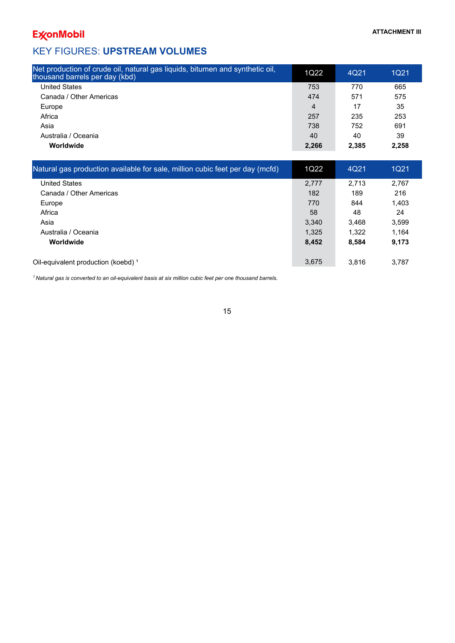# **ExgnMobil**

## KEY FIGURES: **UPSTREAM VOLUMES**

| Net production of crude oil, natural gas liquids, bitumen and synthetic oil,<br>thousand barrels per day (kbd) | 1Q22  | 4Q21  | <b>1Q21</b> |
|----------------------------------------------------------------------------------------------------------------|-------|-------|-------------|
| <b>United States</b>                                                                                           | 753   | 770   | 665         |
| Canada / Other Americas                                                                                        | 474   | 571   | 575         |
| Europe                                                                                                         | 4     | 17    | 35          |
| Africa                                                                                                         | 257   | 235   | 253         |
| Asia                                                                                                           | 738   | 752   | 691         |
| Australia / Oceania                                                                                            | 40    | 40    | 39          |
| Worldwide                                                                                                      | 2,266 | 2.385 | 2.258       |

| Natural gas production available for sale, million cubic feet per day (mcfd) | 1Q22  | 4Q21  | <b>1Q21</b> |
|------------------------------------------------------------------------------|-------|-------|-------------|
| <b>United States</b>                                                         | 2,777 | 2.713 | 2,767       |
| Canada / Other Americas                                                      | 182   | 189   | 216         |
| Europe                                                                       | 770   | 844   | 1,403       |
| Africa                                                                       | 58    | 48    | 24          |
| Asia                                                                         | 3.340 | 3.468 | 3,599       |
| Australia / Oceania                                                          | 1.325 | 1.322 | 1,164       |
| Worldwide                                                                    | 8.452 | 8.584 | 9,173       |
| Oil-equivalent production (koebd) <sup>1</sup>                               | 3.675 | 3.816 | 3.787       |

<sup>1</sup> Natural gas is converted to an oil-equivalent basis at six million cubic feet per one thousand barrels.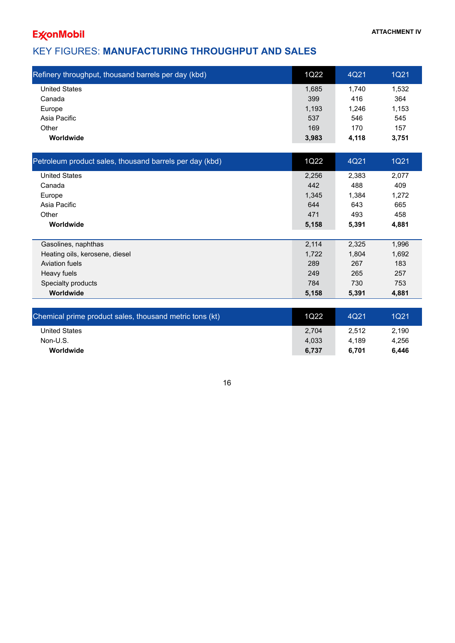#### **ATTACHMENT IV**

# **ExconMobil**

# KEY FIGURES: **MANUFACTURING THROUGHPUT AND SALES**

| Refinery throughput, thousand barrels per day (kbd) | 1Q22  | 4Q21  | 1Q21  |
|-----------------------------------------------------|-------|-------|-------|
| <b>United States</b>                                | 1,685 | 1.740 | 1,532 |
| Canada                                              | 399   | 416   | 364   |
| Europe                                              | 1,193 | 1.246 | 1,153 |
| Asia Pacific                                        | 537   | 546   | 545   |
| Other                                               | 169   | 170   | 157   |
| Worldwide                                           | 3,983 | 4,118 | 3,751 |

| Petroleum product sales, thousand barrels per day (kbd) | 1Q22  | 4Q21  | <b>1Q21</b> |
|---------------------------------------------------------|-------|-------|-------------|
| <b>United States</b>                                    | 2,256 | 2,383 | 2,077       |
| Canada                                                  | 442   | 488   | 409         |
| Europe                                                  | 1,345 | 1,384 | 1,272       |
| Asia Pacific                                            | 644   | 643   | 665         |
| Other                                                   | 471   | 493   | 458         |
| Worldwide                                               | 5,158 | 5,391 | 4,881       |
|                                                         |       |       |             |
| Gasolines, naphthas                                     | 2,114 | 2,325 | 1,996       |
| Heating oils, kerosene, diesel                          | 1,722 | 1.804 | 1.692       |
| Aviation fuels                                          | 289   | 267   | 183         |
| Heavy fuels                                             | 249   | 265   | 257         |
| Specialty products                                      | 784   | 730   | 753         |
| Worldwide                                               | 5,158 | 5,391 | 4,881       |

| Chemical prime product sales, thousand metric tons (kt) | 1Q22  | 4Q21  | <b>1Q21</b> |
|---------------------------------------------------------|-------|-------|-------------|
| <b>United States</b>                                    | 2.704 | 2.512 | 2.190       |
| Non-U.S.                                                | 4.033 | 4.189 | 4.256       |
| Worldwide                                               | 6.737 | 6.701 | 6.446       |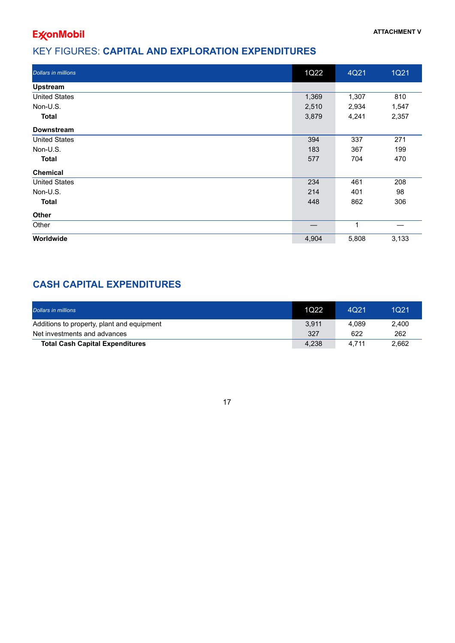# KEY FIGURES: **CAPITAL AND EXPLORATION EXPENDITURES**

| <b>Dollars in millions</b> | 1Q22  | 4Q21  | <b>1Q21</b> |
|----------------------------|-------|-------|-------------|
| <b>Upstream</b>            |       |       |             |
| <b>United States</b>       | 1,369 | 1,307 | 810         |
| Non-U.S.                   | 2,510 | 2,934 | 1,547       |
| <b>Total</b>               | 3,879 | 4,241 | 2,357       |
| <b>Downstream</b>          |       |       |             |
| <b>United States</b>       | 394   | 337   | 271         |
| Non-U.S.                   | 183   | 367   | 199         |
| <b>Total</b>               | 577   | 704   | 470         |
| Chemical                   |       |       |             |
| <b>United States</b>       | 234   | 461   | 208         |
| Non-U.S.                   | 214   | 401   | 98          |
| <b>Total</b>               | 448   | 862   | 306         |
| Other                      |       |       |             |
| Other                      |       | 1     |             |
| Worldwide                  | 4,904 | 5,808 | 3,133       |

# **CASH CAPITAL EXPENDITURES**

| <b>Dollars in millions</b>                 | 1Q <sub>22</sub> | 4Q21  | 1Q21  |
|--------------------------------------------|------------------|-------|-------|
| Additions to property, plant and equipment | 3.911            | 4.089 | 2.400 |
| Net investments and advances               | 327              | 622   | 262   |
| <b>Total Cash Capital Expenditures</b>     | 4.238            | 4.711 | 2.662 |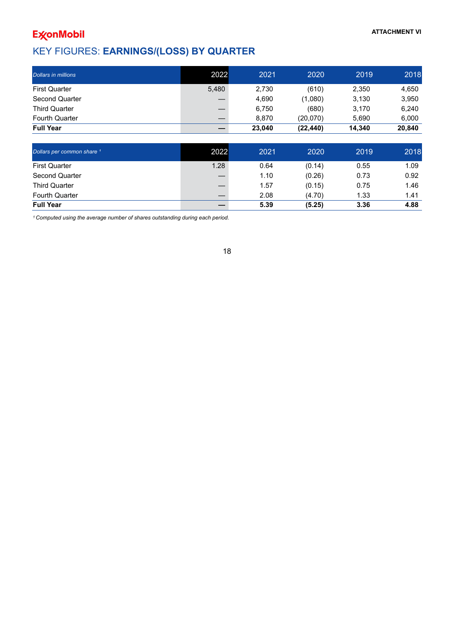# **ExgnMobil**

## KEY FIGURES: **EARNINGS/(LOSS) BY QUARTER**

| <b>Dollars in millions</b> | 2022  | 2021   | 2020      | 2019   | 2018   |
|----------------------------|-------|--------|-----------|--------|--------|
| <b>First Quarter</b>       | 5,480 | 2,730  | (610)     | 2,350  | 4,650  |
| Second Quarter             |       | 4,690  | (1,080)   | 3,130  | 3,950  |
| <b>Third Quarter</b>       | __    | 6.750  | (680)     | 3,170  | 6.240  |
| <b>Fourth Quarter</b>      |       | 8.870  | (20,070)  | 5,690  | 6,000  |
| <b>Full Year</b>           |       | 23.040 | (22, 440) | 14.340 | 20,840 |

| Dollars per common share 1 | 2022 | 2021 | 2020   | 2019 | 2018 |
|----------------------------|------|------|--------|------|------|
| <b>First Quarter</b>       | 1.28 | 0.64 | (0.14) | 0.55 | 1.09 |
| Second Quarter             |      | 1.10 | (0.26) | 0.73 | 0.92 |
| <b>Third Quarter</b>       |      | 1.57 | (0.15) | 0.75 | 1.46 |
| <b>Fourth Quarter</b>      |      | 2.08 | (4.70) | 1.33 | 1.41 |
| <b>Full Year</b>           |      | 5.39 | (5.25) | 3.36 | 4.88 |

*Computed using the average number of shares outstanding during each period. 1*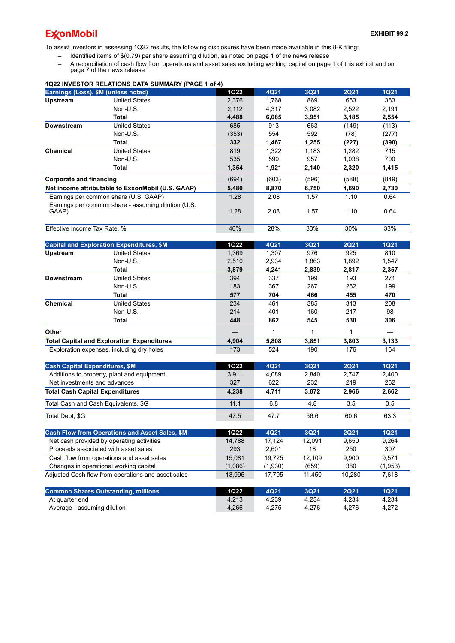<span id="page-22-0"></span>To assist investors in assessing 1Q22 results, the following disclosures have been made available in this 8-K filing:

- Identified items of \$(0.79) per share assuming dilution, as noted on page 1 of the news release
- A reconciliation of cash flow from operations and asset sales excluding working capital on page 1 of this exhibit and on page 7 of the news release

|                                        | 1Q22 INVESTOR RELATIONS DATA SUMMARY (PAGE 1 of 4)    |             |         |             |              |             |
|----------------------------------------|-------------------------------------------------------|-------------|---------|-------------|--------------|-------------|
| Earnings (Loss), \$M (unless noted)    |                                                       | <b>1Q22</b> | 4Q21    | <b>3Q21</b> | <b>2Q21</b>  | <b>1Q21</b> |
| <b>Upstream</b>                        | <b>United States</b>                                  | 2,376       | 1,768   | 869         | 663          | 363         |
|                                        | Non-U.S.                                              | 2,112       | 4,317   | 3,082       | 2,522        | 2,191       |
|                                        | Total                                                 | 4,488       | 6,085   | 3,951       | 3,185        | 2,554       |
| Downstream                             | <b>United States</b>                                  | 685         | 913     | 663         | (149)        | (113)       |
|                                        | Non-U.S.                                              | (353)       | 554     | 592         | (78)         | (277)       |
|                                        | Total                                                 | 332         | 1,467   | 1,255       | (227)        | (390)       |
| Chemical                               | <b>United States</b>                                  | 819         | 1,322   | 1,183       | 1,282        | 715         |
|                                        | Non-U.S.                                              | 535         | 599     | 957         | 1,038        | 700         |
|                                        | Total                                                 | 1,354       | 1,921   | 2,140       | 2,320        | 1,415       |
| <b>Corporate and financing</b>         |                                                       | (694)       | (603)   | (596)       | (588)        | (849)       |
|                                        | Net income attributable to ExxonMobil (U.S. GAAP)     | 5,480       | 8,870   | 6,750       | 4,690        | 2,730       |
|                                        | Earnings per common share (U.S. GAAP)                 | 1.28        | 2.08    | 1.57        | 1.10         | 0.64        |
| GAAP)                                  | Earnings per common share - assuming dilution (U.S.   | 1.28        | 2.08    | 1.57        | 1.10         | 0.64        |
| Effective Income Tax Rate, %           |                                                       | 40%         | 28%     | 33%         | 30%          | 33%         |
|                                        | <b>Capital and Exploration Expenditures, \$M</b>      | <b>1Q22</b> | 4Q21    | <b>3Q21</b> | <b>2Q21</b>  | <b>1Q21</b> |
| <b>Upstream</b>                        | <b>United States</b>                                  | 1,369       | 1,307   | 976         | 925          | 810         |
|                                        | Non-U.S.                                              | 2,510       | 2,934   | 1,863       | 1,892        | 1,547       |
|                                        | <b>Total</b>                                          | 3,879       | 4,241   | 2,839       | 2,817        | 2,357       |
| Downstream                             | <b>United States</b>                                  | 394         | 337     | 199         | 193          | 271         |
|                                        | Non-U.S.                                              | 183         | 367     | 267         | 262          | 199         |
|                                        | Total                                                 | 577         | 704     | 466         | 455          | 470         |
| Chemical                               | <b>United States</b>                                  | 234         | 461     | 385         | 313          | 208         |
|                                        | Non-U.S.                                              | 214         | 401     | 160         | 217          | 98          |
|                                        | Total                                                 | 448         | 862     | 545         | 530          | 306         |
| <b>Other</b>                           |                                                       |             | 1       | 1           | $\mathbf{1}$ |             |
|                                        | <b>Total Capital and Exploration Expenditures</b>     | 4,904       | 5,808   | 3,851       | 3,803        | 3,133       |
|                                        | Exploration expenses, including dry holes             | 173         | 524     | 190         | 176          | 164         |
| <b>Cash Capital Expenditures, \$M</b>  |                                                       | <b>1Q22</b> | 4Q21    | <b>3Q21</b> | <b>2Q21</b>  | <b>1Q21</b> |
|                                        | Additions to property, plant and equipment            | 3,911       | 4,089   | 2,840       | 2,747        | 2,400       |
| Net investments and advances           |                                                       | 327         | 622     | 232         | 219          | 262         |
| <b>Total Cash Capital Expenditures</b> |                                                       | 4,238       | 4,711   | 3,072       | 2,966        | 2,662       |
| Total Cash and Cash Equivalents, \$G   |                                                       | 11.1        | 6.8     | 4.8         | 3.5          | 3.5         |
| Total Debt, \$G                        |                                                       | 47.5        | 47.7    | 56.6        | 60.6         | 63.3        |
|                                        | <b>Cash Flow from Operations and Asset Sales, \$M</b> | <b>1Q22</b> | 4Q21    | <b>3Q21</b> | <b>2Q21</b>  | <b>1Q21</b> |
|                                        | Net cash provided by operating activities             | 14,788      | 17,124  | 12,091      | 9,650        | 9,264       |
|                                        | Proceeds associated with asset sales                  | 293         | 2,601   | 18          | 250          | 307         |
|                                        | Cash flow from operations and asset sales             | 15,081      | 19,725  | 12,109      | 9,900        | 9,571       |
|                                        | Changes in operational working capital                | (1,086)     | (1,930) | (659)       | 380          | (1,953)     |
|                                        | Adjusted Cash flow from operations and asset sales    | 13,995      | 17,795  | 11,450      | 10,280       | 7,618       |
|                                        | <b>Common Shares Outstanding, millions</b>            | <b>1Q22</b> | 4Q21    | <b>3Q21</b> | <b>2Q21</b>  | <b>1Q21</b> |
| At quarter end                         |                                                       | 4,213       | 4,239   | 4,234       | 4,234        | 4,234       |
| Average - assuming dilution            |                                                       | 4,266       | 4,275   | 4,276       | 4,276        | 4,272       |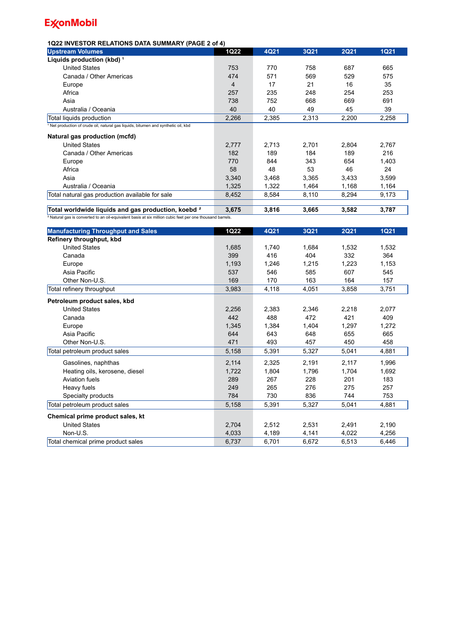#### **1Q22 INVESTOR RELATIONS DATA SUMMARY (PAGE 2 of 4)**

| <b>Upstream Volumes</b>                                                                       | 1Q22  | <b>4Q21</b> | <b>3Q21</b> | <b>2Q21</b> | <b>1Q21</b> |
|-----------------------------------------------------------------------------------------------|-------|-------------|-------------|-------------|-------------|
| Liquids production (kbd) <sup>1</sup>                                                         |       |             |             |             |             |
| <b>United States</b>                                                                          | 753   | 770         | 758         | 687         | 665         |
| Canada / Other Americas                                                                       | 474   | 571         | 569         | 529         | 575         |
| Europe                                                                                        | 4     | 17          | 21          | 16          | 35          |
| Africa                                                                                        | 257   | 235         | 248         | 254         | 253         |
| Asia                                                                                          | 738   | 752         | 668         | 669         | 691         |
| Australia / Oceania                                                                           | 40    | 40          | 49          | 45          | 39          |
| Total liquids production                                                                      | 2,266 | 2,385       | 2,313       | 2,200       | 2,258       |
| <sup>1</sup> Net production of crude oil, natural gas liquids, bitumen and synthetic oil, kbd |       |             |             |             |             |
| Natural gas production (mcfd)                                                                 |       |             |             |             |             |
| <b>United States</b>                                                                          | 2,777 | 2,713       | 2,701       | 2,804       | 2,767       |
| Canada / Other Americas                                                                       | 182   | 189         | 184         | 189         | 216         |
| Europe                                                                                        | 770   | 844         | 343         | 654         | 1,403       |
| Africa                                                                                        | 58    | 48          | 53          | 46          | 24          |
| Asia                                                                                          | 3,340 | 3,468       | 3,365       | 3,433       | 3,599       |
| Australia / Oceania                                                                           | 1,325 | 1,322       | 1,464       | 1,168       | 1,164       |
| Total natural gas production available for sale                                               | 8,452 | 8,584       | 8,110       | 8,294       | 9,173       |
| Total worldwide liquids and gas production, koebd <sup>2</sup>                                | 3,675 | 3,816       | 3,665       | 3,582       | 3,787       |

<sup>2</sup> Natural gas is converted to an oil-equivalent basis at six million cubic feet per one thousand barrels.

| <b>Manufacturing Throughput and Sales</b> | 1022  | 4Q21  | 3Q21  | <b>2Q21</b> | <b>1Q21</b> |
|-------------------------------------------|-------|-------|-------|-------------|-------------|
| Refinery throughput, kbd                  |       |       |       |             |             |
| <b>United States</b>                      | 1,685 | 1,740 | 1,684 | 1,532       | 1,532       |
| Canada                                    | 399   | 416   | 404   | 332         | 364         |
| Europe                                    | 1,193 | 1,246 | 1,215 | 1,223       | 1,153       |
| Asia Pacific                              | 537   | 546   | 585   | 607         | 545         |
| Other Non-U.S.                            | 169   | 170   | 163   | 164         | 157         |
| Total refinery throughput                 | 3,983 | 4,118 | 4,051 | 3,858       | 3,751       |
| Petroleum product sales, kbd              |       |       |       |             |             |
| <b>United States</b>                      | 2,256 | 2,383 | 2,346 | 2,218       | 2,077       |
| Canada                                    | 442   | 488   | 472   | 421         | 409         |
| Europe                                    | 1.345 | 1.384 | 1.404 | 1.297       | 1,272       |
| Asia Pacific                              | 644   | 643   | 648   | 655         | 665         |
| Other Non-U.S.                            | 471   | 493   | 457   | 450         | 458         |
| Total petroleum product sales             | 5,158 | 5,391 | 5,327 | 5.041       | 4.881       |
| Gasolines, naphthas                       | 2,114 | 2,325 | 2,191 | 2,117       | 1,996       |
| Heating oils, kerosene, diesel            | 1,722 | 1,804 | 1,796 | 1,704       | 1,692       |
| Aviation fuels                            | 289   | 267   | 228   | 201         | 183         |
| Heavy fuels                               | 249   | 265   | 276   | 275         | 257         |
| Specialty products                        | 784   | 730   | 836   | 744         | 753         |
| Total petroleum product sales             | 5,158 | 5,391 | 5,327 | 5,041       | 4,881       |
| Chemical prime product sales, kt          |       |       |       |             |             |
| <b>United States</b>                      | 2,704 | 2,512 | 2,531 | 2,491       | 2,190       |
| Non-U.S.                                  | 4,033 | 4,189 | 4,141 | 4,022       | 4,256       |
| Total chemical prime product sales        | 6,737 | 6,701 | 6.672 | 6,513       | 6.446       |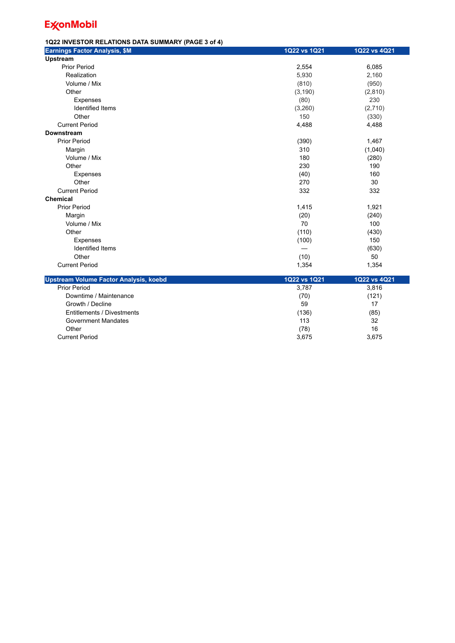### **1Q22 INVESTOR RELATIONS DATA SUMMARY (PAGE 3 of 4)**

| <b>Earnings Factor Analysis, \$M</b>   | 1Q22 vs 1Q21 | 1Q22 vs 4Q21 |
|----------------------------------------|--------------|--------------|
| Upstream                               |              |              |
| <b>Prior Period</b>                    | 2,554        | 6,085        |
| Realization                            | 5,930        | 2,160        |
| Volume / Mix                           | (810)        | (950)        |
| Other                                  | (3, 190)     | (2,810)      |
| Expenses                               | (80)         | 230          |
| <b>Identified Items</b>                | (3,260)      | (2,710)      |
| Other                                  | 150          | (330)        |
| <b>Current Period</b>                  | 4,488        | 4,488        |
| <b>Downstream</b>                      |              |              |
| <b>Prior Period</b>                    | (390)        | 1,467        |
| Margin                                 | 310          | (1,040)      |
| Volume / Mix                           | 180          | (280)        |
| Other                                  | 230          | 190          |
| Expenses                               | (40)         | 160          |
| Other                                  | 270          | 30           |
| <b>Current Period</b>                  | 332          | 332          |
| <b>Chemical</b>                        |              |              |
| <b>Prior Period</b>                    | 1,415        | 1,921        |
| Margin                                 | (20)         | (240)        |
| Volume / Mix                           | 70           | 100          |
| Other                                  | (110)        | (430)        |
| Expenses                               | (100)        | 150          |
| <b>Identified Items</b>                |              | (630)        |
| Other                                  | (10)         | 50           |
| <b>Current Period</b>                  | 1,354        | 1,354        |
| Upstream Volume Factor Analysis, koebd | 1Q22 vs 1Q21 | 1Q22 vs 4Q21 |
| <b>Prior Period</b>                    | 3,787        | 3,816        |
| Downtime / Maintenance                 | (70)         | (121)        |
| Growth / Decline                       | 59           | 17           |
| Entitlements / Divestments             | (136)        | (85)         |
| <b>Government Mandates</b>             | 113          | 32           |
| Other                                  | (78)         | 16           |
| <b>Current Period</b>                  | 3,675        | 3,675        |